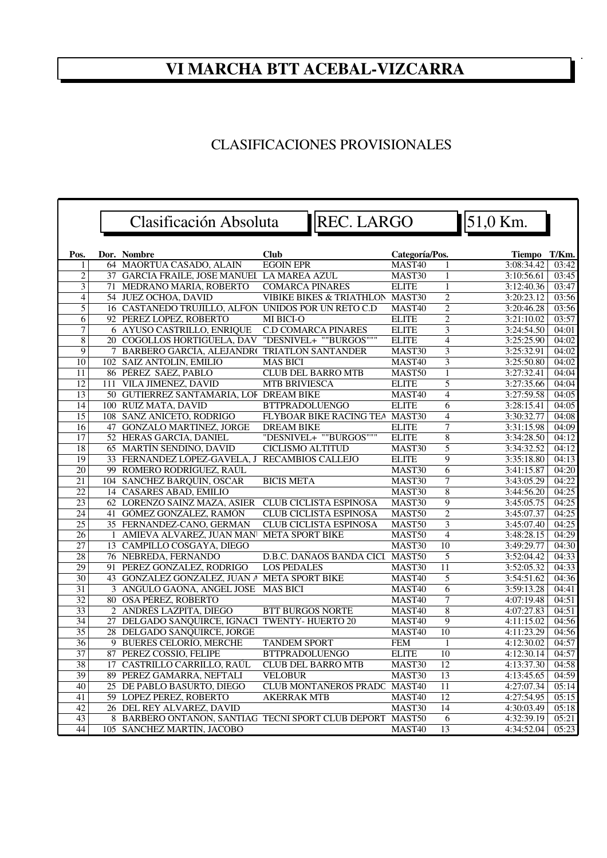## **VI MARCHA BTT ACEBAL-VIZCARRA**

## CLASIFICACIONES PROVISIONALES

|                 |   | Clasificación Absoluta                              | REC. LARGO                          |                  |                         | 51,0 Km.                 |                |
|-----------------|---|-----------------------------------------------------|-------------------------------------|------------------|-------------------------|--------------------------|----------------|
| Pos.            |   | Dor. Nombre                                         | <b>Club</b>                         | Categoría/Pos.   |                         | Tiempo T/Km.             |                |
| 1               |   | 64 MAORTUA CASADO, ALAIN                            | <b>EGOIN EPR</b>                    | MAST40           | 1                       | 3:08:34.42               | 03:42          |
| $\overline{2}$  |   | 37 GARCIA FRAILE, JOSE MANUEL LA MAREA AZUL         |                                     | MAST30           | $\mathbf{1}$            | 3:10:56.61               | 03:45          |
| 3               |   | 71 MEDRANO MARIA, ROBERTO                           | <b>COMARCA PINARES</b>              | <b>ELITE</b>     | $\mathbf{1}$            | 3:12:40.36               | 03:47          |
| $\overline{4}$  |   | 54 JUEZ OCHOA, DAVID                                | <b>VIBIKE BIKES &amp; TRIATHLON</b> | MAST30           | $\overline{2}$          | 3:20:23.12               | 03:56          |
| $\overline{5}$  |   | 16 CASTANEDO TRUJILLO, ALFON UNIDOS POR UN RETO C.D |                                     | MAST40           | $\overline{2}$          | 3:20:46.28               | 03:56          |
| 6               |   | 92 PEREZ LOPEZ, ROBERTO                             | MI BICI-O                           | <b>ELITE</b>     | $\overline{c}$          | 3:21:10.02               | 03:57          |
| $\overline{7}$  |   | 6 AYUSO CASTRILLO, ENRIQUE                          | <b>C.D COMARCA PINARES</b>          | <b>ELITE</b>     | $\overline{3}$          | 3:24:54.50               | 04:01          |
| 8               |   | 20 COGOLLOS HORTIGÜELA, DAV                         | "DESNIVEL+ ""BURGOS"""              | <b>ELITE</b>     | $\overline{4}$          | 3:25:25.90               | 04:02          |
| 9               | 7 | BARBERO GARCÍA, ALEJANDRO                           | <b>TRIATLON SANTANDER</b>           | MAST30           | $\overline{\mathbf{3}}$ | 3:25:32.91               | 04:02          |
| 10              |   | 102 SAIZ ANTOLIN, EMILIO                            | <b>MAS BICI</b>                     | MAST40           | $\overline{3}$          | 3:25:50.80               | 04:02          |
| 11              |   | 86 PÉREZ SÁEZ, PABLO                                | <b>CLUB DEL BARRO MTB</b>           | MAST50           | $\mathbf{1}$            | 3:27:32.41               | 04:04          |
| 12              |   | 111 VILA JIMENEZ, DAVID                             | <b>MTB BRIVIESCA</b>                | <b>ELITE</b>     | $\overline{5}$          | 3:27:35.66               | 04:04          |
| 13              |   | 50 GUTIERREZ SANTAMARIA, LOF DREAM BIKE             |                                     | MAST40           | $\overline{4}$          | 3:27:59.58               | 04:05          |
| 14              |   | 100 RUIZ MATA, DAVID                                | <b>BTTPRADOLUENGO</b>               | <b>ELITE</b>     | $\overline{6}$          | 3:28:15.41               | 04:05          |
| 15              |   | 108 SANZ ANICETO, RODRIGO                           | FLYBOAR BIKE RACING TEA MAST30      |                  | $\overline{4}$          | 3:30:32.77               | 04:08          |
| 16              |   | 47 GONZALO MARTINEZ, JORGE                          | <b>DREAM BIKE</b>                   | <b>ELITE</b>     | $\overline{7}$          | 3:31:15.98               | 04:09          |
| 17              |   | 52 HERAS GARCIA, DANIEL                             | "DESNIVEL+ ""BURGOS"""              | <b>ELITE</b>     | $\overline{8}$          | 3:34:28.50               | 04:12          |
| 18              |   | 65 MARTÍN SENDINO, DAVID                            | <b>CICLISMO ALTITUD</b>             | MAST30           | 5                       | 3:34:32.52               | 04:12          |
| 19              |   | 33 FERNÁNDEZ LÓPEZ-GAVELA, J                        | <b>RECAMBIOS CALLEJO</b>            | <b>ELITE</b>     | 9                       | 3:35:18.80               | 04:13          |
| $\overline{20}$ |   | 99 ROMERO RODRÍGUEZ, RAÚL                           |                                     | MAST30           | 6                       | 3:41:15.87               | 04:20          |
| 21              |   | 104 SANCHEZ BARQUIN, OSCAR                          | <b>BICIS META</b>                   | MAST30           | $\overline{7}$          | 3:43:05.29               | 04:22          |
| $\overline{22}$ |   | 14 CASARES ABAD, EMILIO                             |                                     | MAST30           | $\overline{8}$          | 3:44:56.20               | 04:25          |
| 23              |   | 62 LORENZO SAINZ MAZA, ASIER                        | <b>CLUB CICLISTA ESPINOSA</b>       | MAST30           | 9                       | 3:45:05.75               | 04:25          |
| 24              |   | 41 GÓMEZ GONZÁLEZ, RAMÓN                            | <b>CLUB CICLISTA ESPINOSA</b>       | MAST50           | $\overline{2}$          | 3:45:07.37               | 04:25          |
| 25              |   | 35 FERNANDEZ-CANO, GERMAN                           | <b>CLUB CICLISTA ESPINOSA</b>       | MAST50           | 3                       | 3:45:07.40               | 04:25          |
| 26<br>27        |   | 1 AMIEVA ALVAREZ, JUAN MAN                          | <b>META SPORT BIKE</b>              | MAST50           | $\overline{4}$<br>10    | 3:48:28.15               | 04:29<br>04:30 |
| 28              |   | 13 CAMPILLO COSGAYA, DIEGO<br>76 NEBREDA, FERNANDO  | D.B.C. DAÑAOS BANDA CICI            | MAST30<br>MAST50 | 5                       | 3:49:29.77<br>3:52:04.42 | 04:33          |
| 29              |   | 91 PEREZ GONZALEZ, RODRIGO                          | <b>LOS PEDALES</b>                  | MAST30           | $\overline{11}$         | 3:52:05.32               | 04:33          |
| $\overline{30}$ |   | 43 GONZALEZ GONZALEZ, JUAN A META SPORT BIKE        |                                     | MAST40           | 5                       | 3:54:51.62               | 04:36          |
| 31              |   | 3 ANGULO GAONA, ANGEL JOSE                          | <b>MAS BICI</b>                     | MAST40           | 6                       | 3:59:13.28               | 04:41          |
| $\overline{32}$ |   | 80 OSA PÉREZ, ROBERTO                               |                                     | MAST40           | $\overline{7}$          | 4:07:19.48               | 04:51          |
| 33              |   | 2 ANDRÉS LAZPITA, DIEGO                             | <b>BTT BURGOS NORTE</b>             | MAST40           | $\overline{8}$          | 4:07:27.83               | 04:51          |
| 34              |   | 27 DELGADO SANQUIRCE, IGNACI TWENTY- HUERTO 20      |                                     | MAST40           | 9                       | 4:11:15.02               | 04:56          |
| $\overline{35}$ |   | 28 DELGADO SANQUIRCE, JORGE                         |                                     | MAST40           | 10                      | 4:11:23.29               | 04:56          |
| 36              |   | 9 BUERES CELORIO, MERCHE                            | <b>TANDEM SPORT</b>                 | <b>FEM</b>       | $\mathbf{1}$            | 4:12:30.02               | 04:57          |
| 37              |   | 87 PEREZ COSSIO, FELIPE                             | <b>BTTPRADOLUENGO</b>               | <b>ELITE</b>     | 10                      | 4:12:30.14               | 04:57          |
| 38              |   | 17 CASTRILLO CARRILLO, RAÚL                         | <b>CLUB DEL BARRO MTB</b>           | MAST30           | 12                      | 4:13:37.30               | 04:58          |
| 39              |   | 89 PEREZ GAMARRA, NEFTALI                           | <b>VELOBUR</b>                      | MAST30           | $\overline{13}$         | 4:13:45.65               | 04:59          |
| 40              |   | 25 DE PABLO BASURTO, DIEGO                          | CLUB MONTAÑEROS PRADC MAST40        |                  | 11                      | 4:27:07.34               | 05:14          |
| 41              |   | 59 LOPEZ PEREZ, ROBERTO                             | <b>AKERRAK MTB</b>                  | MAST40           | 12                      | 4:27:54.95               | 05:15          |
| 42              |   | 26 DEL REY ALVAREZ, DAVID                           |                                     | MAST30           | 14                      | 4:30:03.49               | 05:18          |
| 43              |   | 8 BARBERO ONTAÑON, SANTIAG TECNI SPORT CLUB DEPORT  |                                     | MAST50           | 6                       | 4:32:39.19               | 05:21          |
| 44              |   | 105 SÁNCHEZ MARTÍN, JACOBO                          |                                     | MAST40           | 13                      | 4:34:52.04               | 05:23          |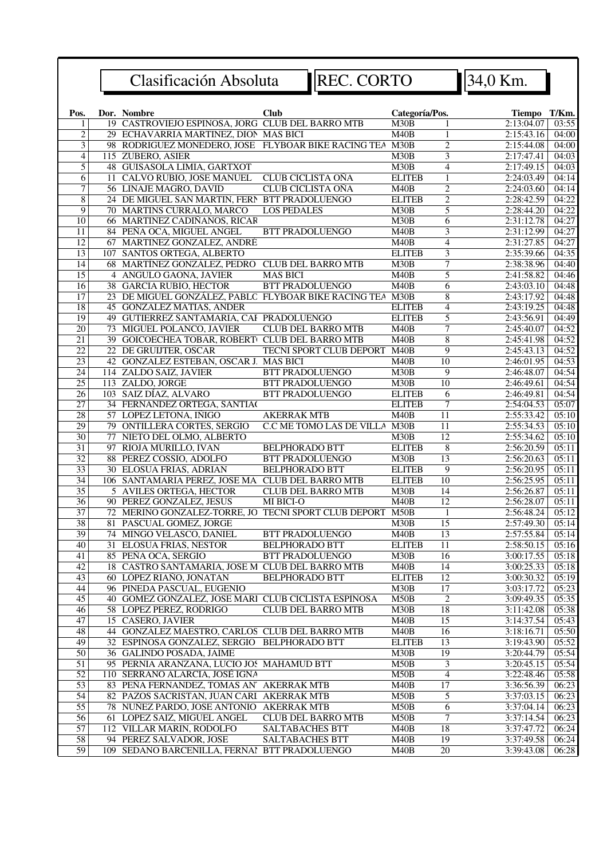REC. CORTO 34,0 Km.

| Pos.            | Dor. Nombre                                                                | <b>Club</b>                    | Categoría/Pos. |                         | Tiempo T/Km.             |                              |
|-----------------|----------------------------------------------------------------------------|--------------------------------|----------------|-------------------------|--------------------------|------------------------------|
|                 | 19 CASTROVIEJO ESPINOSA, JORG CLUB DEL BARRO MTB                           |                                | M30B           |                         | 2:13:04.07               | 03:55                        |
| $\overline{2}$  | 29 ECHAVARRIA MARTINEZ, DION MAS BICI                                      |                                | M40B           | $\mathbf{1}$            | 2:15:43.16               | 04:00                        |
| 3               | 98 RODRIGUEZ MONEDERO, JOSE FLYBOAR BIKE RACING TEA                        |                                | M30B           | $\overline{2}$          | 2:15:44.08               | 04:00                        |
| $\overline{4}$  | 115 ZUBERO, ASIER                                                          |                                | M30B           | 3                       | 2:17:47.41               | 04:03                        |
| 5               | 48 GUISASOLA LIMIA, GARTXOT                                                |                                | M30B           | 4                       | 2:17:49.15               | 04:03                        |
| 6               | 11 CALVO RUBIO, JOSE MANUEL                                                | CLUB CICLISTA OÑA              | <b>ELITEB</b>  | $\mathbf{1}$            | 2:24:03.49               | 04:14                        |
| $\overline{7}$  | 56 LINAJE MAGRO, DAVID                                                     | CLUB CICLISTA OÑA              | M40B           | $\overline{2}$          | 2:24:03.60               | 04:14                        |
| $\overline{8}$  | 24 DE MIGUEL SAN MARTIN, FERN BTT PRADOLUENGO                              |                                | <b>ELITEB</b>  | $\overline{2}$          | 2:28:42.59               | 04:22                        |
| 9               | 70 MARTINS CURRALO, MARCO                                                  | <b>LOS PEDALES</b>             | M30B           | 5                       | 2:28:44.20               | 04:22                        |
| $\overline{10}$ | 66 MARTINEZ CADIÑANOS, RICAR                                               |                                | M30B           | $\overline{6}$          | 2:31:12.78               | 04:27                        |
| 11              | 84 PEÑA OCA, MIGUEL ANGEL                                                  | <b>BTT PRADOLUENGO</b>         | M40B           | $\overline{\mathbf{3}}$ | 2:31:12.99               | 04:27                        |
| $\overline{12}$ | 67 MARTINEZ GONZALEZ, ANDRÉ                                                |                                | M40B           | $\overline{4}$          | 2:31:27.85               | 04:27                        |
| 13              | 107 SANTOS ORTEGA, ALBERTO                                                 |                                | <b>ELITEB</b>  | $\overline{\mathbf{3}}$ | 2:35:39.66               | 04:35                        |
| 14              | 68 MARTÍNEZ GONZÁLEZ, PEDRO CLUB DEL BARRO MTB                             |                                | M30B           | $\overline{7}$          | 2:38:38.96               | 04:40                        |
| $\overline{15}$ | 4 ANGULO GAONA, JAVIER                                                     | <b>MAS BICI</b>                | M40B           | $\overline{5}$          | 2:41:58.82               | 04:46                        |
| 16              | 38 GARCIA RUBIO, HECTOR                                                    | <b>BTT PRADOLUENGO</b>         | M40B           | 6                       | 2:43:03.10               | 04:48                        |
| 17              | 23 DE MIGUEL GONZÁLEZ, PABLC FLYBOAR BIKE RACING TEA                       |                                | M30B           | 8                       | 2:43:17.92               | $\overline{04:}48$           |
| 18              | 45 GONZALEZ MATIAS, ANDER                                                  |                                | <b>ELITEB</b>  | 4                       | 2:43:19.25               | 04:48                        |
| 19              | 49 GUTIERREZ SANTAMARIA, CAI PRADOLUENGO                                   |                                | <b>ELITEB</b>  | $\overline{5}$          | 2:43:56.91               | 04:49                        |
| $\overline{20}$ | 73 MIGUEL POLANCO, JAVIER                                                  | <b>CLUB DEL BARRO MTB</b>      | M40B           | $\overline{7}$          | 2:45:40.07               | 04:52                        |
| $\overline{21}$ | 39 GOICOECHEA TOBAR, ROBERT CLUB DEL BARRO MTB                             |                                | M40B           | $\overline{8}$          | 2:45:41.98               | 04:52                        |
| 22              | 22 DE GRUIJTER, OSCAR                                                      | <b>TECNI SPORT CLUB DEPORT</b> | M40B           | 9                       | 2:45:43.13               | 04:52                        |
| 23              | 42 GONZALEZ ESTEBAN, OSCAR J. MAS BICI                                     |                                | M40B           | 10                      | 2:46:01.95               | 04:53                        |
| $\overline{24}$ | 114 ZALDO SAIZ, JAVIER                                                     | <b>BTT PRADOLUENGO</b>         | M30B           | 9                       | 2:46:48.07               | 04:54                        |
| $\overline{25}$ | 113 ZALDO, JORGE                                                           | BTT PRADOLUENGO                | M30B           | 10                      | 2:46:49.61               | 04:54                        |
| 26              | 103 SAIZ DÍAZ, ALVARO                                                      | <b>BTT PRADOLUENGO</b>         | <b>ELITEB</b>  | 6                       | 2:46:49.81               | 04:54                        |
| $\overline{27}$ | 34 FERNANDEZ ORTEGA, SANTIAC                                               |                                | <b>ELITEB</b>  | $\tau$                  | 2:54:04.53               | 05:07                        |
| $\overline{28}$ | 57 LOPEZ LETONA, IÑIGO                                                     | <b>AKERRAK MTB</b>             | M40B           | $\overline{11}$         | 2:55:33.42               | 05:10                        |
| $\overline{29}$ | 79 ONTILLERA CORTES, SERGIO                                                | C.C ME TOMO LAS DE VILLA M30B  |                | $\overline{11}$         | 2:55:34.53               | 05:10                        |
| 30              | 77 NIETO DEL OLMO, ALBERTO                                                 |                                | M30B           | $\overline{12}$         | 2:55:34.62               | 05:10                        |
| $\overline{31}$ | 97 RIOJA MURILLO, IVAN                                                     | <b>BELPHORADO BTT</b>          | <b>ELITEB</b>  | 8                       | 2:56:20.59               | 05:11                        |
| $\overline{32}$ | 88 PEREZ COSSIO, ADOLFO                                                    | <b>BTT PRADOLUENGO</b>         | M30B           | $\overline{13}$         | 2:56:20.63               | 05:11                        |
| $\overline{33}$ | 30 ELOSUA FRIAS, ADRIAN                                                    | <b>BELPHORADO BTT</b>          | <b>ELITEB</b>  | 9                       | 2:56:20.95               | 05:11                        |
| 34              | 106 SANTAMARIA PEREZ, JOSE MA CLUB DEL BARRO MTB                           |                                | <b>ELITEB</b>  | 10                      | 2:56:25.95               | 05:11                        |
| $\overline{35}$ | 5 AVILES ORTEGA, HECTOR                                                    | <b>CLUB DEL BARRO MTB</b>      | M30B           | 14                      | 2:56:26.87               | 05:11                        |
| $\overline{36}$ | 90 PEREZ GONZALEZ, JESUS                                                   | MI BICI-O                      | M40B           | $\overline{12}$         | 2:56:28.07               | 05:11                        |
| $\overline{37}$ | 72 MERINO GONZALEZ-TORRE, JO TECNI SPORT CLUB DEPORT                       |                                | M50B           | $\mathbf{1}$            | 2:56:48.24               | 05:12                        |
| 38              | 81 PASCUAL GOMEZ, JORGE                                                    |                                | M30B           | $\overline{15}$         | 2:57:49.30               | 05:14                        |
| 39              | 74 MINGO VELASCO, DANIEL                                                   | <b>BTT PRADOLUENGO</b>         | M40B           | 13                      | 2:57:55.84               | 05:14                        |
| $\overline{40}$ |                                                                            | <b>BELPHORADO BTT</b>          | <b>ELITEB</b>  | 11                      | 2:58:50.15               | 05:16                        |
| $\overline{41}$ | 31 ELOSUA FRIAS, NESTOR                                                    | <b>BTT PRADOLUENGO</b>         |                | $\overline{16}$         |                          |                              |
|                 | 85 PEÑA OCA, SERGIO                                                        |                                | M30B<br>M40B   |                         | 3:00:17.55               | 05:18<br>$\overline{0}$ 5:18 |
| 42<br>43        | 18 CASTRO SANTAMARIA, JOSE M CLUB DEL BARRO MTB<br>60 LÓPEZ RIAÑO, JONATAN | <b>BELPHORADO BTT</b>          | <b>ELITEB</b>  | 14<br>12                | 3:00:25.33<br>3:00:30.32 | 05:19                        |
| 44              | 96 PINEDA PASCUAL, EUGENIO                                                 |                                |                | 17                      |                          | 05:23                        |
| 45              | 40 GOMEZ GONZALEZ, JOSE MARI CLUB CICLISTA ESPINOSA                        |                                | M30B<br>M50B   | $\overline{c}$          | 3:03:17.72<br>3:09:49.35 | 05:35                        |
| 46              | <b>58 LOPEZ PEREZ, RODRIGO</b>                                             |                                |                |                         |                          |                              |
|                 |                                                                            | <b>CLUB DEL BARRO MTB</b>      | M30B           | 18                      | 3:11:42.08               | 05:38                        |
| 47              | 15 CASERO, JAVIER                                                          |                                | M40B           | 15                      | 3:14:37.54               | 05:43                        |
| 48              | 44 GONZÁLEZ MAESTRO, CARLOS CLUB DEL BARRO MTB                             |                                | M40B           | 16                      | 3:18:16.71               | 05:50                        |
| 49              | 32 ESPINOSA GONZALEZ, SERGIO BELPHORADO BTT                                |                                | <b>ELITEB</b>  | $\overline{13}$         | 3:19:43.90               | 05:52                        |
| 50              | 36 GALINDO POSADA, JAIME                                                   |                                | M30B           | $\overline{19}$         | 3:20:44.79               | 05:54                        |
| 51              | 95 PERNIA ARANZANA, LUCIO JOS MAHAMUD BTT                                  |                                | M50B           | 3                       | 3:20:45.15               | 05:54                        |
| $\overline{52}$ | 110 SERRANO ALARCIA, JOSÉ IGNA                                             |                                | M50B           | 4                       | 3:22:48.46               | 05:58                        |
| $\overline{53}$ | 83 PEÑA FERNANDEZ, TOMAS AN' AKERRAK MTB                                   |                                | M40B           | 17                      | 3:36:56.39               | 06:23                        |
| 54              | 82 PAZOS SACRISTAN, JUAN CARI AKERRAK MTB                                  |                                | M50B           | 5                       | 3:37:03.15               | 06:23                        |
| 55              | 78 NUÑEZ PARDO, JOSE ANTONIO AKERRAK MTB                                   |                                | M50B           | 6                       | 3:37:04.14               | 06:23                        |
| 56              | 61 LOPEZ SAIZ, MIGUEL ANGEL                                                | <b>CLUB DEL BARRO MTB</b>      | M50B           | 7                       | 3:37:14.54               | 06:23                        |
| $\overline{57}$ | 112 VILLAR MARIN, RODOLFO                                                  | SALTABACHES BTT                | M40B           | 18                      | 3:37:47.72               | 06:24                        |
| 58              | 94 PEREZ SALVADOR, JOSE                                                    | SALTABACHES BTT                | M40B           | $\overline{19}$         | 3:37:49.58               | 06:24                        |
| $\overline{59}$ | 109 SEDANO BARCENILLA, FERNAI BTT PRADOLUENGO                              |                                | M40B           | $\overline{20}$         | 3:39:43.08               | 06:28                        |